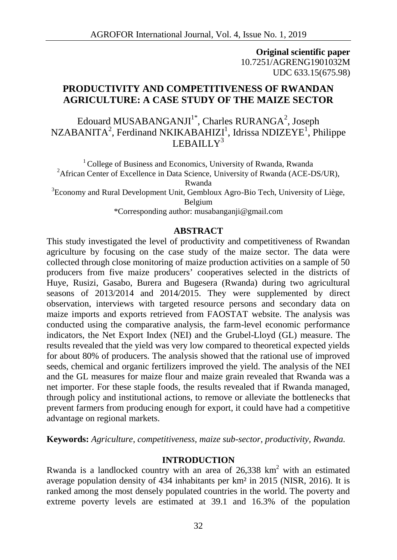**Original scientific paper** 10.7251/AGRENG1901032M UDC 633.15(675.98)

# **PRODUCTIVITY AND COMPETITIVENESS OF RWANDAN AGRICULTURE: A CASE STUDY OF THE MAIZE SECTOR**

Edouard MUSABANGANJI $^1^\ast$ , Charles RURANGA $^2$ , Joseph  $\text{NZABANTA}^2$ , Ferdinand NKIKABAHIZI $^1$ , Idrissa NDIZEYE $^1$ , Philippe LEBAILL $V^3$ 

<sup>1</sup> College of Business and Economics, University of Rwanda, Rwanda <sup>2</sup>African Center of Excellence in Data Science, University of Rwanda (ACE-DS/UR), Rwanda  $3E$ Conomy and Rural Development Unit, Gembloux Agro-Bio Tech, University of Liège, Belgium \*Corresponding author: musabanganji@gmail.com

### **ABSTRACT**

This study investigated the level of productivity and competitiveness of Rwandan agriculture by focusing on the case study of the maize sector. The data were collected through close monitoring of maize production activities on a sample of 50 producers from five maize producers' cooperatives selected in the districts of Huye, Rusizi, Gasabo, Burera and Bugesera (Rwanda) during two agricultural seasons of 2013/2014 and 2014/2015. They were supplemented by direct observation, interviews with targeted resource persons and secondary data on maize imports and exports retrieved from FAOSTAT website. The analysis was conducted using the comparative analysis, the farm-level economic performance indicators, the Net Export Index (NEI) and the Grubel-Lloyd (GL) measure. The results revealed that the yield was very low compared to theoretical expected yields for about 80% of producers. The analysis showed that the rational use of improved seeds, chemical and organic fertilizers improved the yield. The analysis of the NEI and the GL measures for maize flour and maize grain revealed that Rwanda was a net importer. For these staple foods, the results revealed that if Rwanda managed, through policy and institutional actions, to remove or alleviate the bottlenecks that prevent farmers from producing enough for export, it could have had a competitive advantage on regional markets.

**Keywords:** *Agriculture, competitiveness, maize sub-sector, productivity, Rwanda.*

### **INTRODUCTION**

Rwanda is a landlocked country with an area of  $26,338$  km<sup>2</sup> with an estimated average population density of 434 inhabitants per km² in 2015 (NISR, 2016). It is ranked among the most densely populated countries in the world. The poverty and extreme poverty levels are estimated at 39.1 and 16.3% of the population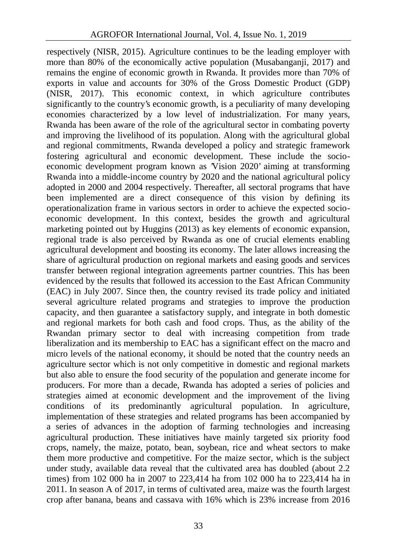respectively (NISR, 2015). Agriculture continues to be the leading employer with more than 80% of the economically active population (Musabanganji, 2017) and remains the engine of economic growth in Rwanda. It provides more than 70% of exports in value and accounts for 30% of the Gross Domestic Product (GDP) (NISR, 2017). This economic context, in which agriculture contributes significantly to the country's economic growth, is a peculiarity of many developing economies characterized by a low level of industrialization. For many years, Rwanda has been aware of the role of the agricultural sector in combating poverty and improving the livelihood of its population. Along with the agricultural global and regional commitments, Rwanda developed a policy and strategic framework fostering agricultural and economic development. These include the socio economic development program known as 'Vision 2020' aiming at transforming Rwanda into a middle-income country by 2020 and the national agricultural policy adopted in 2000 and 2004 respectively. Thereafter, all sectoral programs that have been implemented are a direct consequence of this vision by defining its operationalization frame in various sectors in order to achieve the expected socio economic development. In this context, besides the growth and agricultural marketing pointed out by Huggins (2013) as key elements of economic expansion, regional trade is also perceived by Rwanda as one of crucial elements enabling agricultural development and boosting its economy. The later allows increasing the share of agricultural production on regional markets and easing goods and services transfer between regional integration agreements partner countries. This has been evidenced by the results that followed its accession to the East African Community (EAC) in July 2007. Since then, the country revised its trade policy and initiated several agriculture related programs and strategies to improve the production capacity, and then guarantee a satisfactory supply, and integrate in both domestic and regional markets for both cash and food crops. Thus, as the ability of the Rwandan primary sector to deal with increasing competition from trade liberalization and its membership to EAC has a significant effect on the macro and micro levels of the national economy, it should be noted that the country needs an agriculture sector which is not only competitive in domestic and regional markets but also able to ensure the food security of the population and generate income for producers. For more than a decade, Rwanda has adopted a series of policies and strategies aimed at economic development and the improvement of the living conditions of its predominantly agricultural population. In agriculture, implementation of these strategies and related programs has been accompanied by a series of advances in the adoption of farming technologies and increasing agricultural production. These initiatives have mainly targeted six priority food crops, namely, the maize, potato, bean, soybean, rice and wheat sectors to make them more productive and competitive. For the maize sector, which is the subject under study, available data reveal that the cultivated area has doubled (about 2.2 times) from 102 000 ha in 2007 to 223,414 ha from 102 000 ha to 223,414 ha in 2011. In season A of 2017, in terms of cultivated area, maize was the fourth largest crop after banana, beans and cassava with 16% which is 23% increase from 2016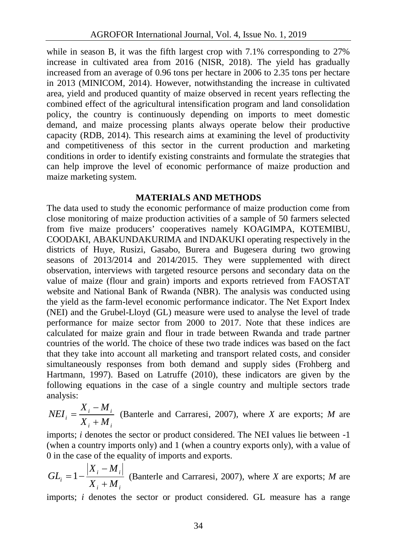while in season B, it was the fifth largest crop with 7.1% corresponding to 27% increase in cultivated area from 2016 (NISR, 2018). The yield has gradually increased from an average of 0.96 tons per hectare in 2006 to 2.35 tons per hectare in 2013 (MINICOM, 2014). However, notwithstanding the increase in cultivated area, yield and produced quantity of maize observed in recent years reflecting the combined effect of the agricultural intensification program and land consolidation policy, the country is continuously depending on imports to meet domestic demand, and maize processing plants always operate below their productive capacity (RDB, 2014). This research aims at examining the level of productivity and competitiveness of this sector in the current production and marketing conditions in order to identify existing constraints and formulate the strategies that can help improve the level of economic performance of maize production and maize marketing system.

## **MATERIALS AND METHODS**

The data used to study the economic performance of maize production come from close monitoring of maize production activities of a sample of 50 farmers selected from five maize producers' cooperatives namely KOAGIMPA, KOTEMIBU, COODAKI, ABAKUNDAKURIMA and INDAKUKI operating respectively in the districts of Huye, Rusizi, Gasabo, Burera and Bugesera during two growing seasons of 2013/2014 and 2014/2015. They were supplemented with direct observation, interviews with targeted resource persons and secondary data on the value of maize (flour and grain) imports and exports retrieved from FAOSTAT website and National Bank of Rwanda (NBR). The analysis was conducted using the yield as the farm-level economic performance indicator. The Net Export Index (NEI) and the Grubel-Lloyd (GL) measure were used to analyse the level of trade performance for maize sector from 2000 to 2017. Note that these indices are calculated for maize grain and flour in trade between Rwanda and trade partner countries of the world. The choice of these two trade indices was based on the fact that they take into account all marketing and transport related costs, and consider simultaneously responses from both demand and supply sides (Frohberg and Hartmann, 1997). Based on Latruffe (2010), these indicators are given by the following equations in the case of a single country and multiple sectors trade analysis:

$$
NEI_i = \frac{X_i - M_i}{X_i + M_i}
$$
 (Banterle and Carraresi, 2007), where *X* are exports; *M* are

imports; *i* denotes the sector or product considered. The NEI values lie between -1 (when a country imports only) and 1 (when a country exports only), with a value of 0 in the case of the equality of imports and exports.

 $i \leftarrow \mathbf{M}$  *i*  $i \left| \begin{array}{c} I \cap I \cap i \end{array} \right|$   $\left| \begin{array}{c} I \cap \{1, \ldots, n\} \end{array} \right|$  $X_i + M_i$  (Banche and Cartaics), 2007), where A are expons, *M* are  $X_i - M_i$  $GL_i = 1 - \frac{|H_i - H_i|}{|H_i - H_i|}$  (Banterle and Carraresi, 200  $+ M_i$  $-M_i$  $=1-\frac{|\mathbf{r}_i - \mathbf{r}_i|}{| \mathbf{r}_i - \mathbf{r}_i |}$  (Banterle and Carraresi, 2007), where *X* are exports; *M* are

imports; *i* denotes the sector or product considered. GL measure has a range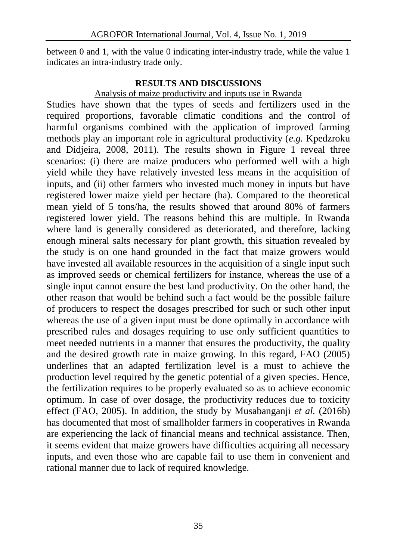between 0 and 1, with the value 0 indicating inter-industry trade, while the value 1 indicates an intra-industry trade only.

## **RESULTS AND DISCUSSIONS**

### Analysis of maize productivity and inputs use in Rwanda

Studies have shown that the types of seeds and fertilizers used in the required proportions, favorable climatic conditions and the control of harmful organisms combined with the application of improved farming methods play an important role in agricultural productivity (*e.g.* Kpedzroku and Didjeira, 2008, 2011). The results shown in Figure 1 reveal three scenarios: (i) there are maize producers who performed well with a high yield while they have relatively invested less means in the acquisition of inputs, and (ii) other farmers who invested much money in inputs but have registered lower maize yield per hectare (ha). Compared to the theoretical mean yield of 5 tons/ha, the results showed that around 80% of farmers registered lower yield. The reasons behind this are multiple. In Rwanda where land is generally considered as deteriorated, and therefore, lacking enough mineral salts necessary for plant growth, this situation revealed by the study is on one hand grounded in the fact that maize growers would have invested all available resources in the acquisition of a single input such as improved seeds or chemical fertilizers for instance, whereas the use of a single input cannot ensure the best land productivity. On the other hand, the other reason that would be behind such a fact would be the possible failure of producers to respect the dosages prescribed for such or such other input whereas the use of a given input must be done optimally in accordance with prescribed rules and dosages requiring to use only sufficient quantities to meet needed nutrients in a manner that ensures the productivity, the quality and the desired growth rate in maize growing. In this regard, FAO (2005) underlines that an adapted fertilization level is a must to achieve the production level required by the genetic potential of a given species. Hence, the fertilization requires to be properly evaluated so as to achieve economic optimum. In case of over dosage, the productivity reduces due to toxicity effect (FAO, 2005). In addition, the study by Musabanganji *et al.* (2016b) has documented that most of smallholder farmers in cooperatives in Rwanda are experiencing the lack of financial means and technical assistance. Then, it seems evident that maize growers have difficulties acquiring all necessary inputs, and even those who are capable fail to use them in convenient and rational manner due to lack of required knowledge.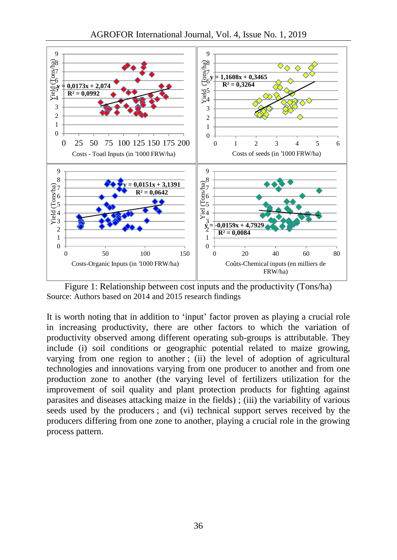

AGROFOR International Journal, Vol. 4, Issue No. 1, 2019

Figure 1: Relationship between cost inputs and the productivity (Tons/ha) Source: Authors based on 2014 and 2015 research findings

It is worth noting that in addition to 'input' factor proven as playing a crucial role in increasing productivity, there are other factors to which the variation of productivity observed among different operating sub-groups is attributable. They include (i) soil conditions or geographic potential related to maize growing, varying from one region to another ; (ii) the level of adoption of agricultural technologies and innovations varying from one producer to another and from one production zone to another (the varying level of fertilizers utilization for the improvement of soil quality and plant protection products for fighting against parasites and diseases attacking maize in the fields) ; (iii) the variability of various seeds used by the producers ; and (vi) technical support serves received by the producers differing from one zone to another, playing a crucial role in the growing process pattern.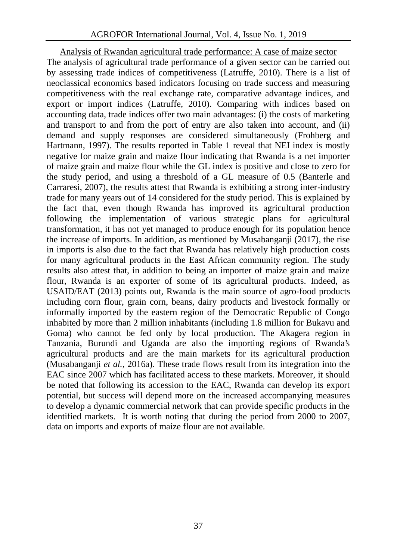Analysis of Rwandan agricultural trade performance: A case of maize sector The analysis of agricultural trade performance of a given sector can be carried out by assessing trade indices of competitiveness (Latruffe, 2010). There is a list of neoclassical economics based indicators focusing on trade success and measuring competitiveness with the real exchange rate, comparative advantage indices, and export or import indices (Latruffe, 2010). Comparing with indices based on accounting data, trade indices offer two main advantages: (i) the costs of marketing and transport to and from the port of entry are also taken into account, and (ii) demand and supply responses are considered simultaneously (Frohberg and Hartmann, 1997). The results reported in Table 1 reveal that NEI index is mostly negative for maize grain and maize flour indicating that Rwanda is a net importer of maize grain and maize flour while the GL index is positive and close to zero for the study period, and using a threshold of a GL measure of 0.5 (Banterle and Carraresi, 2007), the results attest that Rwanda is exhibiting a strong inter-industry trade for many years out of 14 considered for the study period. This is explained by the fact that, even though Rwanda has improved its agricultural production following the implementation of various strategic plans for agricultural transformation, it has not yet managed to produce enough for its population hence the increase of imports. In addition, as mentioned by Musabanganji (2017), the rise in imports is also due to the fact that Rwanda has relatively high production costs for many agricultural products in the East African community region. The study results also attest that, in addition to being an importer of maize grain and maize flour, Rwanda is an exporter of some of its agricultural products. Indeed, as USAID/EAT (2013) points out, Rwanda is the main source of agro-food products including corn flour, grain corn, beans, dairy products and livestock formally or informally imported by the eastern region of the Democratic Republic of Congo inhabited by more than 2 million inhabitants (including 1.8 million for Bukavu and Goma) who cannot be fed only by local production. The Akagera region in Tanzania, Burundi and Uganda are also the importing regions of Rwanda's agricultural products and are the main markets for its agricultural production (Musabanganji *et al.*, 2016a). These trade flows result from its integration into the EAC since 2007 which has facilitated access to these markets. Moreover, it should be noted that following its accession to the EAC, Rwanda can develop its export potential, but success will depend more on the increased accompanying measures to develop a dynamic commercial network that can provide specific products in the identified markets. It is worth noting that during the period from 2000 to 2007, data on imports and exports of maize flour are not available.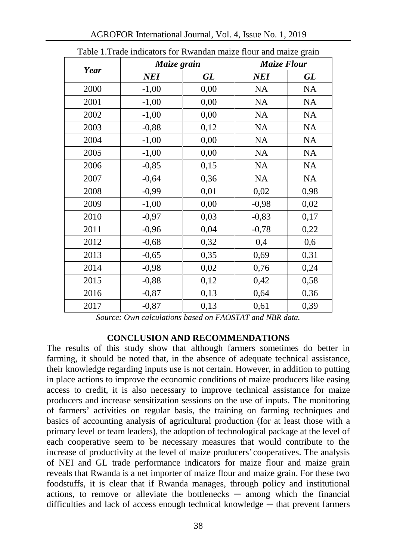| Year | Maize grain |      | <b>Maize Flour</b> |           |
|------|-------------|------|--------------------|-----------|
|      | <b>NEI</b>  | GL   | <b>NEI</b>         | GL        |
| 2000 | $-1,00$     | 0,00 | <b>NA</b>          | <b>NA</b> |
| 2001 | $-1,00$     | 0,00 | <b>NA</b>          | <b>NA</b> |
| 2002 | $-1,00$     | 0,00 | <b>NA</b>          | <b>NA</b> |
| 2003 | $-0,88$     | 0,12 | <b>NA</b>          | <b>NA</b> |
| 2004 | $-1,00$     | 0,00 | <b>NA</b>          | <b>NA</b> |
| 2005 | $-1,00$     | 0,00 | NA                 | <b>NA</b> |
| 2006 | $-0,85$     | 0,15 | <b>NA</b>          | <b>NA</b> |
| 2007 | $-0,64$     | 0,36 | <b>NA</b>          | <b>NA</b> |
| 2008 | $-0,99$     | 0,01 | 0,02               | 0,98      |
| 2009 | $-1,00$     | 0,00 | $-0,98$            | 0,02      |
| 2010 | $-0,97$     | 0,03 | $-0,83$            | 0,17      |
| 2011 | $-0,96$     | 0,04 | $-0,78$            | 0,22      |
| 2012 | $-0,68$     | 0,32 | 0,4                | 0,6       |
| 2013 | $-0,65$     | 0,35 | 0,69               | 0,31      |
| 2014 | $-0,98$     | 0,02 | 0,76               | 0,24      |
| 2015 | $-0,88$     | 0,12 | 0,42               | 0,58      |
| 2016 | $-0,87$     | 0,13 | 0,64               | 0,36      |
| 2017 | $-0,87$     | 0,13 | 0,61               | 0,39      |

Table 1.Trade indicators for Rwandan maize flour and maize grain

*Source: Own calculations based on FAOSTAT and NBR data.*

### **CONCLUSION AND RECOMMENDATIONS**

The results of this study show that although farmers sometimes do better in farming, it should be noted that, in the absence of adequate technical assistance, their knowledge regarding inputs use is not certain. However, in addition to putting in place actions to improve the economic conditions of maize producers like easing access to credit, it is also necessary to improve technical assistance for maize producers and increase sensitization sessions on the use of inputs. The monitoring of farmers' activities on regular basis, the training on farming techniques and basics of accounting analysis of agricultural production (for at least those with a primary level or team leaders), the adoption of technological package at the level of each cooperative seem to be necessary measures that would contribute to the increase of productivity at the level of maize producers' cooperatives. The analysis of NEI and GL trade performance indicators for maize flour and maize grain reveals that Rwanda is a net importer of maize flour and maize grain. For these two foodstuffs, it is clear that if Rwanda manages, through policy and institutional actions, to remove or alleviate the bottlenecks ─ among which the financial difficulties and lack of access enough technical knowledge — that prevent farmers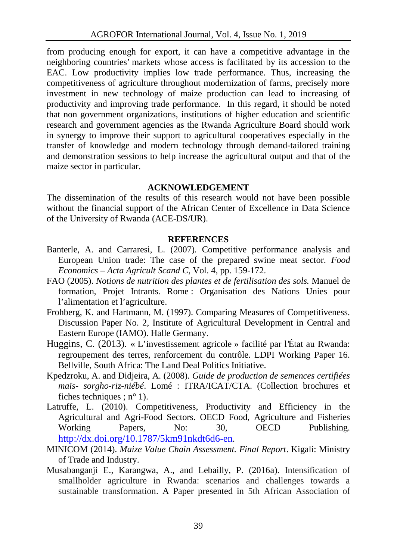from producing enough for export, it can have a competitive advantage in the neighboring countries' markets whose access is facilitated by its accession to the EAC. Low productivity implies low trade performance. Thus, increasing the competitiveness of agriculture throughout modernization of farms, precisely more investment in new technology of maize production can lead to increasing of productivity and improving trade performance. In this regard, it should be noted that non government organizations, institutions of higher education and scientific research and government agencies as the Rwanda Agriculture Board should work in synergy to improve their support to agricultural cooperatives especially in the transfer of knowledge and modern technology through demand-tailored training and demonstration sessions to help increase the agricultural output and that of the maize sector in particular.

### **ACKNOWLEDGEMENT**

The dissemination of the results of this research would not have been possible without the financial support of the African Center of Excellence in Data Science of the University of Rwanda (ACE-DS/UR).

#### **REFERENCES**

- Banterle, A. and Carraresi, L. (2007). Competitive performance analysis and European Union trade: The case of the prepared swine meat sector. *Food Economics – Acta Agricult Scand C*, Vol. 4, pp. 159-172.
- FAO (2005). *Notions de nutrition des plantes et de fertilisation des sols.* Manuel de formation, Projet Intrants*.* Rome : Organisation des Nations Unies pour l'alimentation et l'agriculture.
- Frohberg, K. and Hartmann, M. (1997). Comparing Measures of Competitiveness. Discussion Paper No. 2, Institute of Agricultural Development in Central and Eastern Europe (IAMO). Halle Germany.
- Huggins, C. (2013). « L'investissement agricole » facilité par l'État au Rwanda: regroupement des terres, renforcement du contrôle. LDPI Working Paper 16. Bellville, South Africa: The Land Deal Politics Initiative.
- Kpedzroku, A. and Didjeira, A. (2008). *Guide de production de semences certifiées maïs- sorgho-riz-niébé*. Lomé : ITRA/ICAT/CTA. (Collection brochures et fiches techniques ;  $n^{\circ}$  1).
- Latruffe, L. (2010). Competitiveness, Productivity and Efficiency in the Agricultural and Agri-Food Sectors. OECD Food, Agriculture and Fisheries Working Papers, No: 30, OECD Publishing. http://dx.doi.org/10.1787/5km91nkdt6d6-en.
- MINICOM (2014). *Maize Value Chain Assessment. Final Report*. Kigali: Ministry of Trade and Industry.
- Musabanganji E., Karangwa, A., and Lebailly, P. (2016a). Intensification of smallholder agriculture in Rwanda: scenarios and challenges towards a sustainable transformation. A Paper presented in 5th African Association of